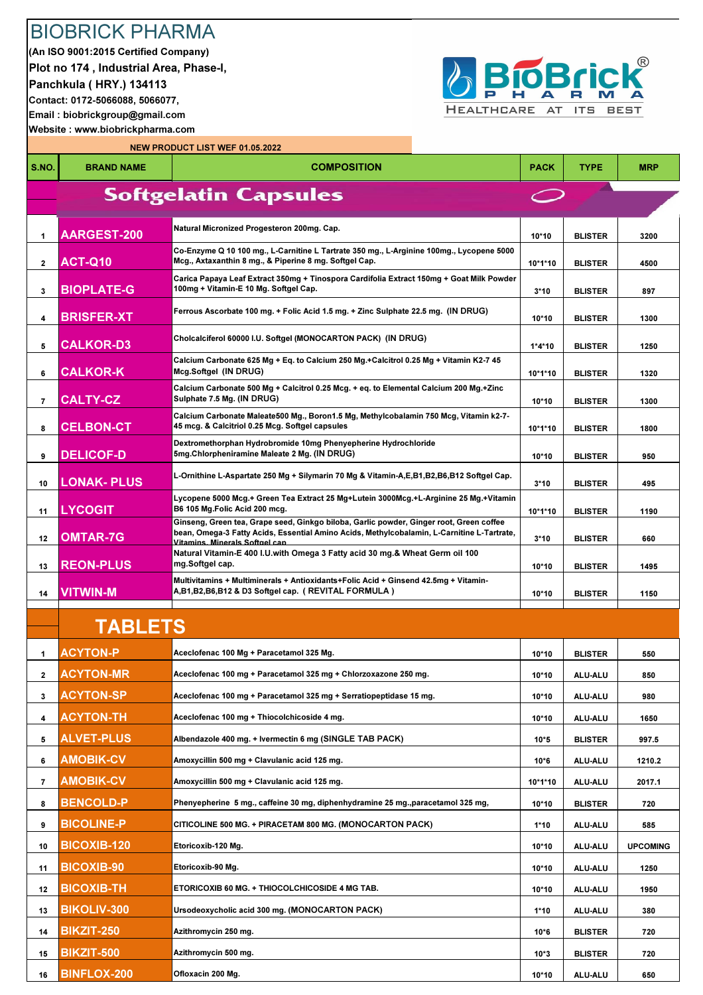## BIOBRICK PHARMA

(An ISO 9001:2015 Certified Company) Plot no 174 , Industrial Area, Phase-I, Panchkula ( HRY.) 134113 Contact: 0172-5066088, 5066077, Email : biobrickgroup@gmail.com Website : www.biobrickpharma.com



NEW PRODUCT LIST WEF 01.05.2022

| S.NO.               | <b>BRAND NAME</b>                     | <b>COMPOSITION</b>                                                                                                                                                                                                      | <b>PACK</b>       | <b>TYPE</b>               | <b>MRP</b>      |
|---------------------|---------------------------------------|-------------------------------------------------------------------------------------------------------------------------------------------------------------------------------------------------------------------------|-------------------|---------------------------|-----------------|
|                     |                                       | <b>Softgelatin Capsules</b>                                                                                                                                                                                             |                   |                           |                 |
|                     |                                       |                                                                                                                                                                                                                         |                   |                           |                 |
| 1                   | <b>AARGEST-200</b>                    | Natural Micronized Progesteron 200mg. Cap.                                                                                                                                                                              | $10*10$           | <b>BLISTER</b>            | 3200            |
| $\mathbf{2}$        | <b>ACT-Q10</b>                        | Co-Enzyme Q 10 100 mg., L-Carnitine L Tartrate 350 mg., L-Arginine 100mg., Lycopene 5000<br>Mcg., Axtaxanthin 8 mg., & Piperine 8 mg. Softgel Cap.                                                                      | 10*1*10           | <b>BLISTER</b>            | 4500            |
| 3                   | <b>BIOPLATE-G</b>                     | Carica Papaya Leaf Extract 350mg + Tinospora Cardifolia Extract 150mg + Goat Milk Powder<br>100mg + Vitamin-E 10 Mg. Softgel Cap.                                                                                       | $3*10$            | <b>BLISTER</b>            | 897             |
| 4                   | <b>BRISFER-XT</b>                     | Ferrous Ascorbate 100 mg. + Folic Acid 1.5 mg. + Zinc Sulphate 22.5 mg. (IN DRUG)                                                                                                                                       | 10*10             | <b>BLISTER</b>            | 1300            |
| 5                   | <b>CALKOR-D3</b>                      | Cholcalciferol 60000 I.U. Softgel (MONOCARTON PACK) (IN DRUG)                                                                                                                                                           | $1*4*10$          | <b>BLISTER</b>            | 1250            |
| 6                   | <b>CALKOR-K</b>                       | Calcium Carbonate 625 Mg + Eq. to Calcium 250 Mg.+Calcitrol 0.25 Mg + Vitamin K2-7 45<br>Mcg.Softgel (IN DRUG)                                                                                                          | 10*1*10           | <b>BLISTER</b>            | 1320            |
| 7                   | <b>CALTY-CZ</b>                       | Calcium Carbonate 500 Mg + Calcitrol 0.25 Mcg. + eq. to Elemental Calcium 200 Mg.+Zinc<br>Sulphate 7.5 Mg. (IN DRUG)                                                                                                    | 10*10             | <b>BLISTER</b>            | 1300            |
| 8                   | <b>CELBON-CT</b>                      | Calcium Carbonate Maleate500 Mg., Boron1.5 Mg, Methylcobalamin 750 Mcg, Vitamin k2-7-<br>45 mcg. & Calcitriol 0.25 Mcg. Softgel capsules                                                                                | 10*1*10           | <b>BLISTER</b>            | 1800            |
| 9                   | <b>DELICOF-D</b>                      | Dextromethorphan Hydrobromide 10mg Phenyepherine Hydrochloride<br>5mg.Chlorpheniramine Maleate 2 Mg. (IN DRUG)                                                                                                          | 10*10             | <b>BLISTER</b>            | 950             |
| 10                  | <b>LONAK-PLUS</b>                     | L-Ornithine L-Aspartate 250 Mg + Silymarin 70 Mg & Vitamin-A,E,B1,B2,B6,B12 Softgel Cap.                                                                                                                                | $3*10$            | <b>BLISTER</b>            | 495             |
| 11                  | <b>LYCOGIT</b>                        | Lycopene 5000 Mcg.+ Green Tea Extract 25 Mg+Lutein 3000Mcg.+L-Arginine 25 Mg.+Vitamin<br>B6 105 Mg.Folic Acid 200 mcg.                                                                                                  | 10*1*10           | <b>BLISTER</b>            | 1190            |
| 12                  | <b>OMTAR-7G</b>                       | Ginseng, Green tea, Grape seed, Ginkgo biloba, Garlic powder, Ginger root, Green coffee<br>bean, Omega-3 Fatty Acids, Essential Amino Acids, Methylcobalamin, L-Carnitine L-Tartrate,<br>Vitamins, Minerals Softgel can | $3*10$            | <b>BLISTER</b>            | 660             |
| 13                  | <b>REON-PLUS</b>                      | Natural Vitamin-E 400 I.U.with Omega 3 Fatty acid 30 mg.& Wheat Germ oil 100<br>mg.Softgel cap.                                                                                                                         | 10*10             | <b>BLISTER</b>            | 1495            |
| 14                  | <b>VITWIN-M</b>                       | Multivitamins + Multiminerals + Antioxidants+Folic Acid + Ginsend 42.5mg + Vitamin-<br>A,B1,B2,B6,B12 & D3 Softgel cap. ( REVITAL FORMULA )                                                                             | 10*10             | <b>BLISTER</b>            | 1150            |
|                     | <b>TABLETS</b>                        |                                                                                                                                                                                                                         |                   |                           |                 |
| 1.                  | <b>ACYTON-P</b>                       | Aceclofenac 100 Mg + Paracetamol 325 Mg.                                                                                                                                                                                | 10*10             | <b>BLISTER</b>            | 550             |
| $\mathbf{2}$        | <b>ACYTON-MR</b>                      | Aceclofenac 100 mg + Paracetamol 325 mg + Chlorzoxazone 250 mg.                                                                                                                                                         | $10*10$           | ALU-ALU                   | 850             |
| 3                   | <b>ACYTON-SP</b>                      | Aceclofenac 100 mg + Paracetamol 325 mg + Serratiopeptidase 15 mg.                                                                                                                                                      | $10*10$           | ALU-ALU                   | 980             |
|                     |                                       |                                                                                                                                                                                                                         |                   |                           |                 |
| 4<br>5              | <b>ACYTON-TH</b><br><b>ALVET-PLUS</b> | Aceclofenac 100 mg + Thiocolchicoside 4 mg.<br>Albendazole 400 mg. + Ivermectin 6 mg (SINGLE TAB PACK)                                                                                                                  | $10*10$<br>$10*5$ | ALU-ALU<br><b>BLISTER</b> | 1650<br>997.5   |
| 6                   | <b>AMOBIK-CV</b>                      | Amoxycillin 500 mg + Clavulanic acid 125 mg.                                                                                                                                                                            | $10*6$            | ALU-ALU                   | 1210.2          |
|                     | <b>AMOBIK-CV</b>                      | Amoxycillin 500 mg + Clavulanic acid 125 mg.                                                                                                                                                                            |                   |                           |                 |
| $\overline{7}$<br>8 | <b>BENCOLD-P</b>                      | Phenyepherine 5 mg., caffeine 30 mg, diphenhydramine 25 mg., paracetamol 325 mg,                                                                                                                                        | 10*1*10<br>10*10  | ALU-ALU<br><b>BLISTER</b> | 2017.1<br>720   |
| 9                   | <b>BICOLINE-P</b>                     | CITICOLINE 500 MG. + PIRACETAM 800 MG. (MONOCARTON PACK)                                                                                                                                                                | $1*10$            | ALU-ALU                   | 585             |
| 10                  | <b>BICOXIB-120</b>                    | Etoricoxib-120 Mg.                                                                                                                                                                                                      | 10*10             | ALU-ALU                   | <b>UPCOMING</b> |
| 11                  | <b>BICOXIB-90</b>                     | Etoricoxib-90 Mg.                                                                                                                                                                                                       | $10*10$           | ALU-ALU                   | 1250            |
| 12                  | <b>BICOXIB-TH</b>                     | ETORICOXIB 60 MG. + THIOCOLCHICOSIDE 4 MG TAB.                                                                                                                                                                          | 10*10             | ALU-ALU                   | 1950            |
| 13                  | <b>BIKOLIV-300</b>                    | Ursodeoxycholic acid 300 mg. (MONOCARTON PACK)                                                                                                                                                                          | $1*10$            | ALU-ALU                   | 380             |
| 14                  | <b>BIKZIT-250</b>                     | Azithromycin 250 mg.                                                                                                                                                                                                    | $10*6$            | <b>BLISTER</b>            | 720             |
| 15                  | <b>BIKZIT-500</b>                     | Azithromycin 500 mg.                                                                                                                                                                                                    | $10*3$            | <b>BLISTER</b>            | 720             |
| 16                  | <b>BINFLOX-200</b>                    | Ofloxacin 200 Mg.                                                                                                                                                                                                       | 10*10             | ALU-ALU                   | 650             |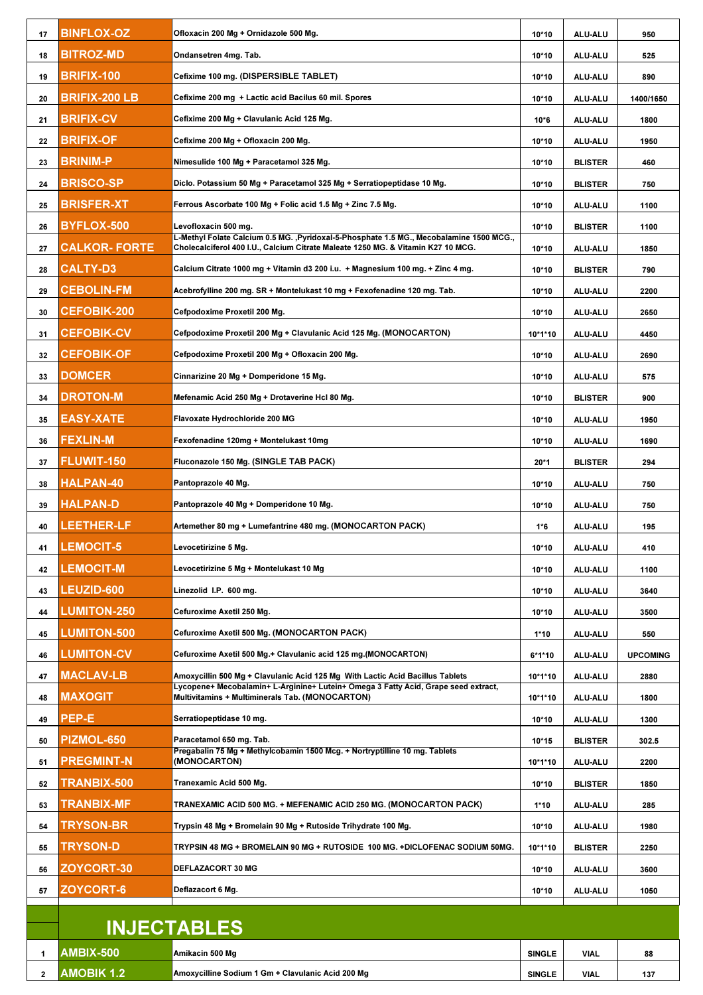| 17           | <b>BINFLOX-OZ</b>    | Ofloxacin 200 Mg + Ornidazole 500 Mg.                                                                                                                                       | 10*10         | ALU-ALU        | 950             |
|--------------|----------------------|-----------------------------------------------------------------------------------------------------------------------------------------------------------------------------|---------------|----------------|-----------------|
| 18           | <b>BITROZ-MD</b>     | Ondansetren 4mg. Tab.                                                                                                                                                       | $10*10$       | <b>ALU-ALU</b> | 525             |
| 19           | <b>BRIFIX-100</b>    | Cefixime 100 mg. (DISPERSIBLE TABLET)                                                                                                                                       | 10*10         | <b>ALU-ALU</b> | 890             |
| 20           | BRIFIX-200 LB        | Cefixime 200 mg +Lactic acid Bacilus 60 mil. Spores                                                                                                                         | 10*10         | ALU-ALU        | 1400/1650       |
| 21           | <b>BRIFIX-CV</b>     | Cefixime 200 Mg + Clavulanic Acid 125 Mg.                                                                                                                                   | $10*6$        | ALU-ALU        | 1800            |
| 22           | BRIFIX-OF            | Cefixime 200 Mg + Ofloxacin 200 Mg.                                                                                                                                         | $10*10$       | <b>ALU-ALU</b> | 1950            |
| 23           | BRINIM-P             | Nimesulide 100 Mg + Paracetamol 325 Mg.                                                                                                                                     | $10*10$       | <b>BLISTER</b> | 460             |
| 24           | <b>BRISCO-SP</b>     | Diclo. Potassium 50 Mg + Paracetamol 325 Mg + Serratiopeptidase 10 Mg.                                                                                                      | $10*10$       | <b>BLISTER</b> | 750             |
| 25           | <b>BRISFER-XT</b>    | Ferrous Ascorbate 100 Mg + Folic acid 1.5 Mg + Zinc 7.5 Mg.                                                                                                                 | $10*10$       | <b>ALU-ALU</b> | 1100            |
| 26           | <b>BYFLOX-500</b>    | Levofloxacin 500 mg.                                                                                                                                                        | $10*10$       | <b>BLISTER</b> | 1100            |
| 27           | <b>CALKOR- FORTE</b> | L-Methyl Folate Calcium 0.5 MG. ,Pyridoxal-5-Phosphate 1.5 MG., Mecobalamine 1500 MCG.,<br>Cholecalciferol 400 I.U., Calcium Citrate Maleate 1250 MG. & Vitamin K27 10 MCG. | 10*10         | <b>ALU-ALU</b> | 1850            |
| 28           | <b>CALTY-D3</b>      | Calcium Citrate 1000 mg + Vitamin d3 200 i.u.  + Magnesium 100 mg. + Zinc 4 mg.                                                                                             | 10*10         | <b>BLISTER</b> | 790             |
| 29           | <b>CEBOLIN-FM</b>    | Acebrofylline 200 mg. SR + Montelukast 10 mg + Fexofenadine 120 mg. Tab.                                                                                                    | 10*10         | <b>ALU-ALU</b> | 2200            |
| 30           | <b>CEFOBIK-200</b>   | Cefpodoxime Proxetil 200 Mg.                                                                                                                                                | $10*10$       | ALU-ALU        | 2650            |
| 31           | <b>CEFOBIK-CV</b>    | Cefpodoxime Proxetil 200 Mg + Clavulanic Acid 125 Mg. (MONOCARTON)                                                                                                          | 10*1*10       | <b>ALU-ALU</b> | 4450            |
| 32           | <b>CEFOBIK-OF</b>    | Cefpodoxime Proxetil 200 Mg + Ofloxacin 200 Mg.                                                                                                                             | $10*10$       | ALU-ALU        | 2690            |
| 33           | <b>DOMCER</b>        | Cinnarizine 20 Mg + Domperidone 15 Mg.                                                                                                                                      | 10*10         | <b>ALU-ALU</b> | 575             |
| 34           | <b>DROTON-M</b>      | Mefenamic Acid 250 Mg + Drotaverine Hcl 80 Mg.                                                                                                                              | 10*10         | <b>BLISTER</b> | 900             |
| 35           | EASY-XATE            | Flavoxate Hydrochloride 200 MG                                                                                                                                              | 10*10         | <b>ALU-ALU</b> | 1950            |
| 36           | <b>FEXLIN-M</b>      | Fexofenadine 120mg + Montelukast 10mg                                                                                                                                       | 10*10         | ALU-ALU        | 1690            |
| 37           | <b>FLUWIT-150</b>    | Fluconazole 150 Mg. (SINGLE TAB PACK)                                                                                                                                       | $20*1$        | <b>BLISTER</b> | 294             |
| 38           | <b>HALPAN-40</b>     | Pantoprazole 40 Mg.                                                                                                                                                         | 10*10         | <b>ALU-ALU</b> | 750             |
| 39           | HALPAN-D             | Pantoprazole 40 Mg + Domperidone 10 Mg.                                                                                                                                     | 10*10         | ALU-ALU        | 750             |
| 40           | <b>LEETHER-LF</b>    | Artemether 80 mg + Lumefantrine 480 mg. (MONOCARTON PACK)                                                                                                                   | $1*6$         | <b>ALU-ALU</b> | 195             |
| 41           | <b>LEMOCIT-5</b>     | Levocetirizine 5 Mg.                                                                                                                                                        | 10*10         | <b>ALU-ALU</b> | 410             |
| 42           | <b>LEMOCIT-M</b>     | Levocetirizine 5 Mg + Montelukast 10 Mg                                                                                                                                     | 10*10         | <b>ALU-ALU</b> | 1100            |
| 43           | <b>LEUZID-600</b>    | Linezolid I.P. 600 mg.                                                                                                                                                      | $10*10$       | ALU-ALU        | 3640            |
| 44           | <b>LUMITON-250</b>   | Cefuroxime Axetil 250 Mg.                                                                                                                                                   | $10*10$       | ALU-ALU        | 3500            |
| 45           | <b>LUMITON-500</b>   | Cefuroxime Axetil 500 Mg. (MONOCARTON PACK)                                                                                                                                 | $1*10$        | ALU-ALU        | 550             |
| 46           | <b>LUMITON-CV</b>    | Cefuroxime Axetil 500 Mg.+ Clavulanic acid 125 mg.(MONOCARTON)                                                                                                              | $6*1*10$      | ALU-ALU        | <b>UPCOMING</b> |
| 47           | <b>MACLAV-LB</b>     | Amoxycillin 500 Mg + Clavulanic Acid 125 Mg With Lactic Acid Bacillus Tablets                                                                                               | 10*1*10       | ALU-ALU        | 2880            |
| 48           | <b>MAXOGIT</b>       | Lycopene+ Mecobalamin+ L-Arginine+ Lutein+ Omega 3 Fatty Acid, Grape seed extract,<br>Multivitamins + Multiminerals Tab. (MONOCARTON)                                       | 10*1*10       | ALU-ALU        | 1800            |
| 49           | PEP-E                | Serratiopeptidase 10 mg.                                                                                                                                                    | $10*10$       | ALU-ALU        | 1300            |
| 50           | PIZMOL-650           | Paracetamol 650 mg. Tab.                                                                                                                                                    | $10*15$       | <b>BLISTER</b> | 302.5           |
| 51           | <b>PREGMINT-N</b>    | Pregabalin 75 Mg + Methylcobamin 1500 Mcg. + Nortryptilline 10 mg. Tablets<br>(MONOCARTON)                                                                                  | 10*1*10       | ALU-ALU        | 2200            |
| 52           | TRANBIX-500          | Tranexamic Acid 500 Mg.                                                                                                                                                     | 10*10         | <b>BLISTER</b> | 1850            |
| 53           | TRANBIX-MF           | TRANEXAMIC ACID 500 MG. + MEFENAMIC ACID 250 MG. (MONOCARTON PACK)                                                                                                          | $1*10$        | <b>ALU-ALU</b> | 285             |
| 54           | <b>TRYSON-BR</b>     | Trypsin 48 Mg + Bromelain 90 Mg + Rutoside Trihydrate 100 Mg.                                                                                                               | 10*10         | <b>ALU-ALU</b> | 1980            |
| 55           | <b>TRYSON-D</b>      | TRYPSIN 48 MG + BROMELAIN 90 MG + RUTOSIDE 100 MG. +DICLOFENAC SODIUM 50MG.                                                                                                 | 10*1*10       | <b>BLISTER</b> | 2250            |
| 56           | <b>ZOYCORT-30</b>    | DEFLAZACORT 30 MG                                                                                                                                                           | 10*10         | <b>ALU-ALU</b> | 3600            |
| 57           | <b>ZOYCORT-6</b>     | Deflazacort 6 Mg.                                                                                                                                                           | 10*10         | ALU-ALU        | 1050            |
|              |                      |                                                                                                                                                                             |               |                |                 |
|              |                      | <b>INJECTABLES</b>                                                                                                                                                          |               |                |                 |
| 1            | <b>AMBIX-500</b>     | Amikacin 500 Mg                                                                                                                                                             | <b>SINGLE</b> | <b>VIAL</b>    | 88              |
| $\mathbf{2}$ | <b>AMOBIK 1.2</b>    | Amoxycilline Sodium 1 Gm + Clavulanic Acid 200 Mg                                                                                                                           | <b>SINGLE</b> | <b>VIAL</b>    | 137             |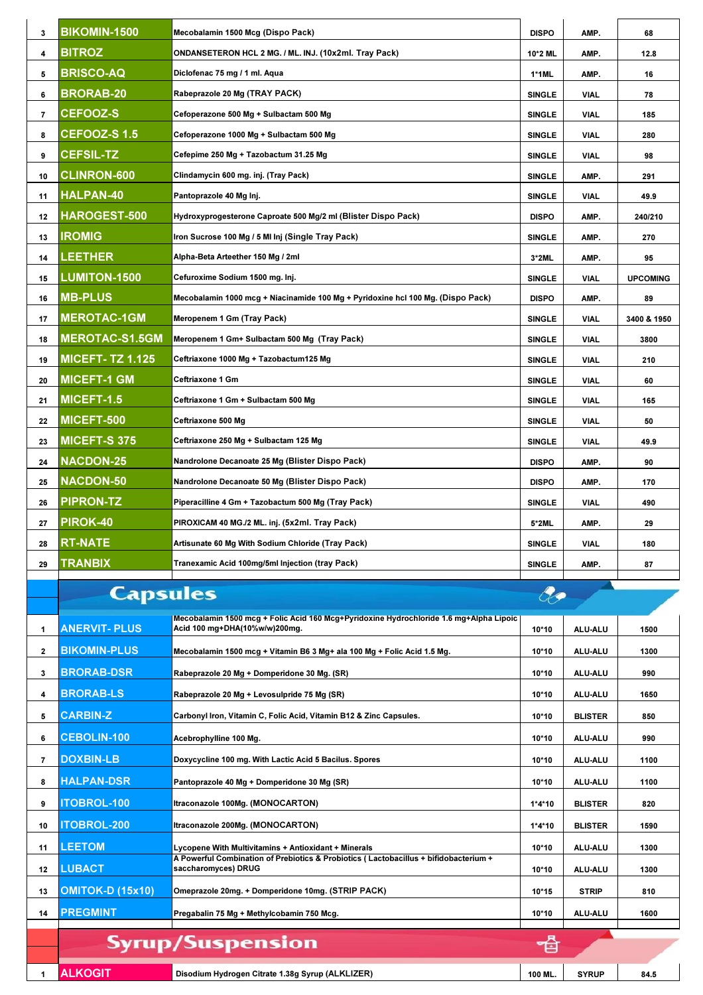| 3            | <b>BIKOMIN-1500</b>    | Mecobalamin 1500 Mcg (Dispo Pack)                                                                                       | <b>DISPO</b>  | AMP.           | 68              |
|--------------|------------------------|-------------------------------------------------------------------------------------------------------------------------|---------------|----------------|-----------------|
| 4            | <b>BITROZ</b>          | ONDANSETERON HCL 2 MG. / ML. INJ. (10x2ml. Tray Pack)                                                                   | 10*2 ML       | AMP.           | 12.8            |
| 5            | <b>BRISCO-AQ</b>       | Diclofenac 75 mg / 1 ml. Aqua                                                                                           | 1*1ML         | AMP.           | 16              |
| 6            | <b>BRORAB-20</b>       | Rabeprazole 20 Mg (TRAY PACK)                                                                                           | <b>SINGLE</b> | VIAL           | 78              |
| 7            | <b>CEFOOZ-S</b>        | Cefoperazone 500 Mg + Sulbactam 500 Mg                                                                                  | <b>SINGLE</b> | VIAL           | 185             |
| 8            | <b>CEFOOZ-S 1.5</b>    | Cefoperazone 1000 Mg + Sulbactam 500 Mg                                                                                 | <b>SINGLE</b> | VIAL           | 280             |
| 9            | <b>CEFSIL-TZ</b>       | Cefepime 250 Mg + Tazobactum 31.25 Mg                                                                                   | <b>SINGLE</b> | VIAL           | 98              |
| 10           | <b>CLINRON-600</b>     | Clindamycin 600 mg. inj. (Tray Pack)                                                                                    | <b>SINGLE</b> | AMP.           | 291             |
| 11           | HALPAN-40              | Pantoprazole 40 Mg Inj.                                                                                                 | <b>SINGLE</b> | VIAL           | 49.9            |
| 12           | HAROGEST-500           | Hydroxyprogesterone Caproate 500 Mg/2 ml (Blister Dispo Pack)                                                           | <b>DISPO</b>  | AMP.           | 240/210         |
| 13           | <b>IROMIG</b>          | Iron Sucrose 100 Mg / 5 MI Inj (Single Tray Pack)                                                                       | <b>SINGLE</b> | AMP.           | 270             |
| 14           | LEETHER                | Alpha-Beta Arteether 150 Mg / 2ml                                                                                       | 3*2ML         | AMP.           | 95              |
| 15           | <b>LUMITON-1500</b>    | Cefuroxime Sodium 1500 mg. Inj.                                                                                         | <b>SINGLE</b> | VIAL           | <b>UPCOMING</b> |
| 16           | <b>MB-PLUS</b>         | Mecobalamin 1000 mcg + Niacinamide 100 Mg + Pyridoxine hcl 100 Mg. (Dispo Pack)                                         | <b>DISPO</b>  | AMP.           | 89              |
| 17           | <b>MEROTAC-1GM</b>     | Meropenem 1 Gm (Tray Pack)                                                                                              | <b>SINGLE</b> | VIAL           | 3400 & 1950     |
| 18           | <b>MEROTAC-S1.5GM</b>  | Meropenem 1 Gm+ Sulbactam 500 Mg (Tray Pack)                                                                            | <b>SINGLE</b> | VIAL           | 3800            |
| 19           | <b>MICEFT-TZ 1.125</b> | Ceftriaxone 1000 Mg + Tazobactum125 Mg                                                                                  | <b>SINGLE</b> | VIAL           | 210             |
| 20           | <b>MICEFT-1 GM</b>     | Ceftriaxone 1 Gm                                                                                                        | <b>SINGLE</b> | VIAL           | 60              |
| 21           | MICEFT-1.5             | Ceftriaxone 1 Gm + Sulbactam 500 Mg                                                                                     | <b>SINGLE</b> | VIAL           | 165             |
| 22           | MICEFT-500             | Ceftriaxone 500 Mg                                                                                                      | <b>SINGLE</b> | VIAL           | 50              |
| 23           | <b>MICEFT-S 375</b>    | Ceftriaxone 250 Mg + Sulbactam 125 Mg                                                                                   | <b>SINGLE</b> | VIAL           | 49.9            |
| 24           | <b>NACDON-25</b>       | Nandrolone Decanoate 25 Mg (Blister Dispo Pack)                                                                         | <b>DISPO</b>  | AMP.           | 90              |
| 25           | <b>NACDON-50</b>       | Nandrolone Decanoate 50 Mg (Blister Dispo Pack)                                                                         | <b>DISPO</b>  | AMP.           | 170             |
| 26           | <b>PIPRON-TZ</b>       | Piperacilline 4 Gm + Tazobactum 500 Mg (Tray Pack)                                                                      | <b>SINGLE</b> | VIAL           | 490             |
| 27           | PIROK-40               | PIROXICAM 40 MG./2 ML. inj. (5x2ml. Tray Pack)                                                                          | 5*2ML         | AMP.           | 29              |
| 28           | <b>RT-NATE</b>         | Artisunate 60 Mg With Sodium Chloride (Tray Pack)                                                                       | <b>SINGLE</b> | VIAL           | 180             |
| 29           | <b>TRANBIX</b>         | Tranexamic Acid 100mg/5ml Injection (tray Pack)                                                                         | <b>SINGLE</b> | AMP.           | 87              |
|              | <b>Capsules</b>        |                                                                                                                         | <b>Rg</b>     |                |                 |
|              |                        |                                                                                                                         |               |                |                 |
| 1            | <b>ANERVIT- PLUS</b>   | Mecobalamin 1500 mcg + Folic Acid 160 Mcg+Pyridoxine Hydrochloride 1.6 mg+Alpha Lipoic<br>Acid 100 mg+DHA(10%w/w)200mg. | 10*10         | ALU-ALU        | 1500            |
| $\mathbf{2}$ | <b>BIKOMIN-PLUS</b>    | Mecobalamin 1500 mcg + Vitamin B6 3 Mg+ ala 100 Mg + Folic Acid 1.5 Mg.                                                 | $10*10$       | ALU-ALU        | 1300            |
| 3            | <b>BRORAB-DSR</b>      | Rabeprazole 20 Mg + Domperidone 30 Mg. (SR)                                                                             | 10*10         | ALU-ALU        | 990             |
| 4            | <b>BRORAB-LS</b>       | Rabeprazole 20 Mg + Levosulpride 75 Mg (SR)                                                                             | 10*10         | ALU-ALU        | 1650            |
| 5            | <b>CARBIN-Z</b>        | Carbonyl Iron, Vitamin C, Folic Acid, Vitamin B12 & Zinc Capsules.                                                      | 10*10         | <b>BLISTER</b> | 850             |
| 6            | <b>CEBOLIN-100</b>     | Acebrophylline 100 Mg.                                                                                                  | 10*10         | ALU-ALU        | 990             |
| 7            | <b>DOXBIN-LB</b>       | Doxycycline 100 mg. With Lactic Acid 5 Bacilus. Spores                                                                  | 10*10         | ALU-ALU        | 1100            |
| 8            | <b>HALPAN-DSR</b>      | Pantoprazole 40 Mg + Domperidone 30 Mg (SR)                                                                             | 10*10         | <b>ALU-ALU</b> | 1100            |
| 9            | <b>TOBROL-100</b>      | ltraconazole 100Mg. (MONOCARTON)                                                                                        | 1*4*10        | <b>BLISTER</b> | 820             |
| 10           | <b>TOBROL-200</b>      | Itraconazole 200Mg. (MONOCARTON)                                                                                        | 1*4*10        | <b>BLISTER</b> | 1590            |
| 11           | LEETOM                 | Lycopene With Multivitamins + Antioxidant + Minerals                                                                    | 10*10         | <b>ALU-ALU</b> | 1300            |
| 12           | <b>LUBACT</b>          | A Powerful Combination of Prebiotics & Probiotics (Lactobacillus + bifidobacterium +<br>saccharomyces) DRUG             | 10*10         | ALU-ALU        | 1300            |
| 13           | OMITOK-D (15x10)       | Omeprazole 20mg. + Domperidone 10mg. (STRIP PACK)                                                                       | $10*15$       | <b>STRIP</b>   | 810             |
| 14           | <b>PREGMINT</b>        | Pregabalin 75 Mg + Methylcobamin 750 Mcg.                                                                               | 10*10         | ALU-ALU        | 1600            |
|              |                        |                                                                                                                         |               |                |                 |
|              |                        |                                                                                                                         |               |                |                 |
|              |                        | <b>Syrup/Suspension</b>                                                                                                 | 百             |                |                 |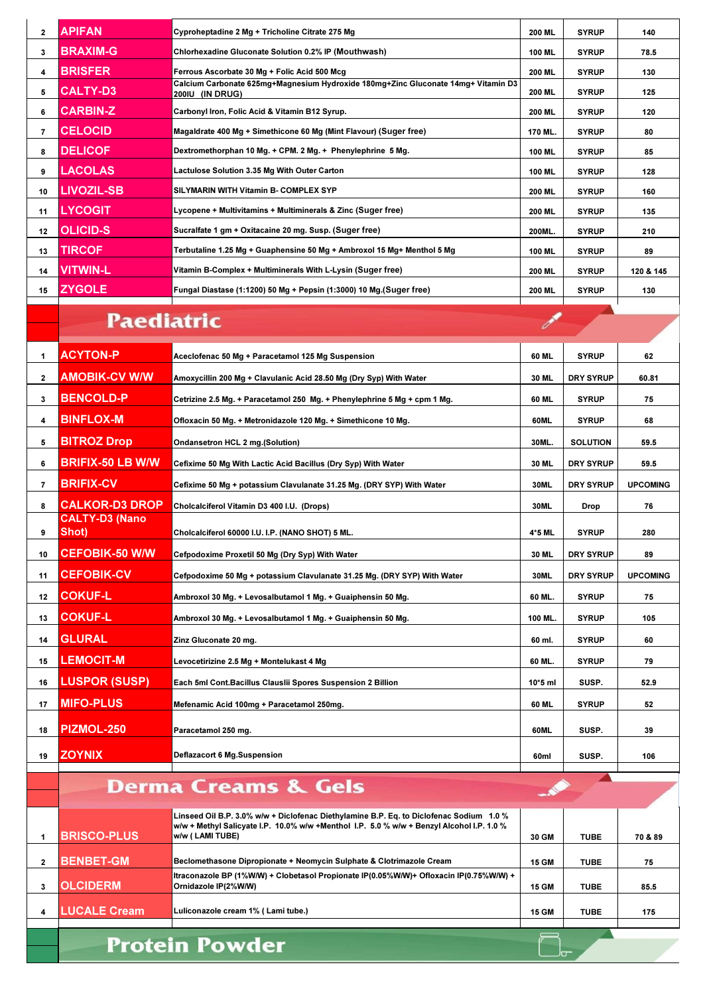| $\mathbf{2}$ | <b>APIFAN</b>                                  | Cyproheptadine 2 Mg + Tricholine Citrate 275 Mg                                                                                                                                                         | 200 ML        | <b>SYRUP</b>     | 140             |
|--------------|------------------------------------------------|---------------------------------------------------------------------------------------------------------------------------------------------------------------------------------------------------------|---------------|------------------|-----------------|
| 3            | BRAXIM-G                                       | Chlorhexadine Gluconate Solution 0.2% IP (Mouthwash)                                                                                                                                                    | 100 ML        | <b>SYRUP</b>     | 78.5            |
| 4            | <b>BRISFER</b>                                 | Ferrous Ascorbate 30 Mg + Folic Acid 500 Mcg                                                                                                                                                            | <b>200 ML</b> | <b>SYRUP</b>     | 130             |
| 5            | <b>CALTY-D3</b>                                | Calcium Carbonate 625mg+Magnesium Hydroxide 180mg+Zinc Gluconate 14mg+ Vitamin D3<br>200IU (IN DRUG)                                                                                                    | 200 ML        | <b>SYRUP</b>     | 125             |
| 6            | <b>CARBIN-Z</b>                                | Carbonyl Iron, Folic Acid & Vitamin B12 Syrup.                                                                                                                                                          | 200 ML        | <b>SYRUP</b>     | 120             |
| 7            | <b>CELOCID</b>                                 | Magaldrate 400 Mg + Simethicone 60 Mg (Mint Flavour) (Suger free)                                                                                                                                       | 170 ML.       | <b>SYRUP</b>     | 80              |
| 8            | <b>DELICOF</b>                                 | Dextromethorphan 10 Mg. + CPM. 2 Mg. + Phenylephrine 5 Mg.                                                                                                                                              | 100 ML        | <b>SYRUP</b>     | 85              |
| 9            | LACOLAS                                        | Lactulose Solution 3.35 Mg With Outer Carton                                                                                                                                                            | 100 ML        | <b>SYRUP</b>     | 128             |
| 10           | <b>LIVOZIL-SB</b>                              | SILYMARIN WITH Vitamin B- COMPLEX SYP                                                                                                                                                                   | 200 ML        | <b>SYRUP</b>     | 160             |
| 11           | <b>LYCOGIT</b>                                 | Lycopene + Multivitamins + Multiminerals & Zinc (Suger free)                                                                                                                                            | 200 ML        | <b>SYRUP</b>     | 135             |
| 12           | <b>OLICID-S</b>                                | Sucralfate 1 gm + Oxitacaine 20 mg. Susp. (Suger free)                                                                                                                                                  | 200ML.        | <b>SYRUP</b>     | 210             |
| 13           | TIRCOF                                         | Terbutaline 1.25 Mg + Guaphensine 50 Mg + Ambroxol 15 Mg+ Menthol 5 Mg                                                                                                                                  | 100 ML        | <b>SYRUP</b>     | 89              |
| 14           | VITWIN-L                                       | Vitamin B-Complex + Multiminerals With L-Lysin (Suger free)                                                                                                                                             | <b>200 ML</b> | <b>SYRUP</b>     | 120 & 145       |
| 15           | <b>ZYGOLE</b>                                  | Fungal Diastase (1:1200) 50 Mg + Pepsin (1:3000) 10 Mg.(Suger free)                                                                                                                                     | 200 ML        | <b>SYRUP</b>     | 130             |
|              |                                                |                                                                                                                                                                                                         |               |                  |                 |
|              | <b>Paediatric</b>                              |                                                                                                                                                                                                         |               |                  |                 |
| 1            | <b>ACYTON-P</b>                                | Aceclofenac 50 Mg + Paracetamol 125 Mg Suspension                                                                                                                                                       | 60 ML         | <b>SYRUP</b>     | 62              |
| 2            | AMOBIK-CV W/W                                  | Amoxycillin 200 Mg + Clavulanic Acid 28.50 Mg (Dry Syp) With Water                                                                                                                                      | 30 ML         | <b>DRY SYRUP</b> | 60.81           |
| 3            | <b>BENCOLD-P</b>                               | Cetrizine 2.5 Mg. + Paracetamol 250  Mg. + Phenylephrine 5 Mg + cpm 1 Mg.                                                                                                                               | 60 ML         | <b>SYRUP</b>     | 75              |
| 4            | <b>BINFLOX-M</b>                               | Ofloxacin 50 Mg. + Metronidazole 120 Mg. + Simethicone 10 Mg.                                                                                                                                           | 60ML          | <b>SYRUP</b>     | 68              |
| 5            | <b>BITROZ Drop</b>                             | Ondansetron HCL 2 mg.(Solution)                                                                                                                                                                         | 30ML.         | SOLUTION         | 59.5            |
|              | BRIFIX-50 LB W/W                               |                                                                                                                                                                                                         |               |                  |                 |
| 6            |                                                | Cefixime 50 Mg With Lactic Acid Bacillus (Dry Syp) With Water                                                                                                                                           | 30 ML         | DRY SYRUP        | 59.5            |
| 7            | <b>BRIFIX-CV</b>                               | Cefixime 50 Mg + potassium Clavulanate 31.25 Mg. (DRY SYP) With Water                                                                                                                                   | 30ML          | <b>DRY SYRUP</b> | <b>UPCOMING</b> |
| 8            | <b>CALKOR-D3 DROP</b><br><b>CALTY-D3 (Nano</b> | Cholcalciferol Vitamin D3 400 I.U. (Drops)                                                                                                                                                              | 30ML          | Drop             | 76              |
|              | Shot)                                          | Cholcalciferol 60000 I.U. I.P. (NANO SHOT) 5 ML.                                                                                                                                                        | 4*5 ML        | <b>SYRUP</b>     | 280             |
| 10           | <b>CEFOBIK-50 W/W</b>                          | Cefpodoxime Proxetil 50 Mg (Dry Syp) With Water                                                                                                                                                         | 30 ML         | DRY SYRUP        | 89              |
| 11           | <b>CEFOBIK-CV</b>                              | Cefpodoxime 50 Mg + potassium Clavulanate 31.25 Mg. (DRY SYP) With Water                                                                                                                                | 30ML          | DRY SYRUP        | <b>UPCOMING</b> |
| 12           | <b>COKUF-L</b>                                 | Ambroxol 30 Mg. + Levosalbutamol 1 Mg. + Guaiphensin 50 Mg.                                                                                                                                             | 60 ML.        | <b>SYRUP</b>     | 75              |
| 13           | <b>COKUF-L</b>                                 | Ambroxol 30 Mg. + Levosalbutamol 1 Mg. + Guaiphensin 50 Mg.                                                                                                                                             | 100 ML.       | <b>SYRUP</b>     | 105             |
| 14           | <b>GLURAL</b>                                  | Zinz Gluconate 20 mg.                                                                                                                                                                                   | 60 ml.        | <b>SYRUP</b>     | 60              |
| 15           | <b>LEMOCIT-M</b>                               | Levocetirizine 2.5 Mg + Montelukast 4 Mg                                                                                                                                                                | 60 ML.        | <b>SYRUP</b>     | 79              |
| 16           | <b>LUSPOR (SUSP)</b>                           | Each 5ml Cont.Bacillus Clauslii Spores Suspension 2 Billion                                                                                                                                             | 10*5 ml       | SUSP.            | 52.9            |
| 17           | <b>MIFO-PLUS</b>                               | Mefenamic Acid 100mg + Paracetamol 250mg.                                                                                                                                                               | 60 ML         | <b>SYRUP</b>     | 52              |
|              |                                                |                                                                                                                                                                                                         |               |                  |                 |
| 18           | <b>PIZMOL-250</b>                              | Paracetamol 250 mg.                                                                                                                                                                                     | 60ML          | SUSP.            | 39              |
| 19           | <b>ZOYNIX</b>                                  | Deflazacort 6 Mg.Suspension                                                                                                                                                                             | 60ml          | SUSP.            | 106             |
|              |                                                |                                                                                                                                                                                                         |               |                  |                 |
|              |                                                | <b>Derma Creams &amp; Gels</b>                                                                                                                                                                          |               |                  |                 |
| 1            | <b>BRISCO-PLUS</b>                             | Linseed Oil B.P. 3.0% w/w + Diclofenac Diethylamine B.P. Eq. to Diclofenac Sodium 1.0 %<br>w/w + Methyl Salicyate I.P. 10.0% w/w +Menthol I.P. 5.0 % w/w + Benzyl Alcohol I.P. 1.0 %<br>w/w (LAMI TUBE) | 30 GM         | <b>TUBE</b>      | 70 & 89         |

| <b>BRISCO-PLUS</b>  | w/w + Methyl Salicyate I.P. 10.0% w/w +Menthol I.P. 5.0 % w/w + Benzyl Alcohol I.P. 1.0 %<br>w/w (LAMI TUBE)   | 30 GM        | <b>TUBE</b> | 70 & 89 |
|---------------------|----------------------------------------------------------------------------------------------------------------|--------------|-------------|---------|
| <b>BENBET-GM</b>    | Beclomethasone Dipropionate + Neomycin Sulphate & Clotrimazole Cream                                           | <b>15 GM</b> | <b>TUBE</b> | 75      |
| <b>OLCIDERM</b>     | Itraconazole BP (1%W/W) + Clobetasol Propionate IP(0.05%W/W)+ Ofloxacin IP(0.75%W/W) +<br>Ornidazole IP(2%W/W) | <b>15 GM</b> | <b>TUBE</b> | 85.5    |
| <b>LUCALE Cream</b> | Luliconazole cream 1% (Lami tube.)                                                                             | <b>15 GM</b> | <b>TUBE</b> | 175     |
|                     |                                                                                                                |              |             |         |

 $\Box$ 

**Protein Powder**